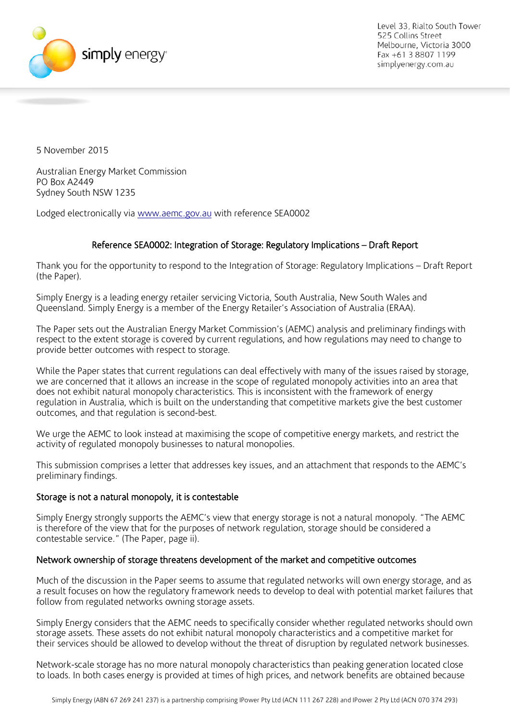

5 November 2015

Australian Energy Market Commission PO Box A2449 Sydney South NSW 1235

Lodged electronically via [www.aemc.gov.au](http://www.aemc.gov.au/) with reference SEA0002

# Reference SEA0002: Integration of Storage: Regulatory Implications – Draft Report

Thank you for the opportunity to respond to the Integration of Storage: Regulatory Implications – Draft Report (the Paper).

Simply Energy is a leading energy retailer servicing Victoria, South Australia, New South Wales and Queensland. Simply Energy is a member of the Energy Retailer's Association of Australia (ERAA).

The Paper sets out the Australian Energy Market Commission's (AEMC) analysis and preliminary findings with respect to the extent storage is covered by current regulations, and how regulations may need to change to provide better outcomes with respect to storage.

While the Paper states that current regulations can deal effectively with many of the issues raised by storage, we are concerned that it allows an increase in the scope of regulated monopoly activities into an area that does not exhibit natural monopoly characteristics. This is inconsistent with the framework of energy regulation in Australia, which is built on the understanding that competitive markets give the best customer outcomes, and that regulation is second-best.

We urge the AEMC to look instead at maximising the scope of competitive energy markets, and restrict the activity of regulated monopoly businesses to natural monopolies.

This submission comprises a letter that addresses key issues, and an attachment that responds to the AEMC's preliminary findings.

### Storage is not a natural monopoly, it is contestable

Simply Energy strongly supports the AEMC's view that energy storage is not a natural monopoly. "The AEMC is therefore of the view that for the purposes of network regulation, storage should be considered a contestable service." (The Paper, page ii).

### Network ownership of storage threatens development of the market and competitive outcomes

Much of the discussion in the Paper seems to assume that regulated networks will own energy storage, and as a result focuses on how the regulatory framework needs to develop to deal with potential market failures that follow from regulated networks owning storage assets.

Simply Energy considers that the AEMC needs to specifically consider whether regulated networks should own storage assets. These assets do not exhibit natural monopoly characteristics and a competitive market for their services should be allowed to develop without the threat of disruption by regulated network businesses.

<span id="page-0-0"></span>Network-scale storage has no more natural monopoly characteristics than peaking generation located close to loads. In both cases energy is provided at times of high prices, and network benefits are obtained because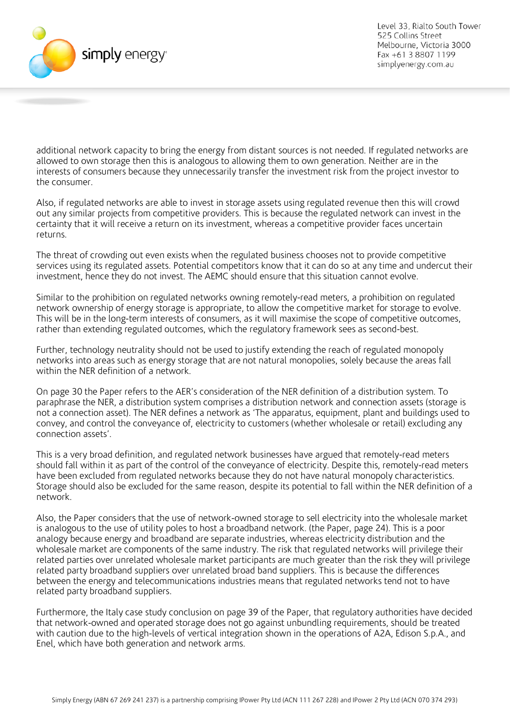

additional network capacity to bring the energy from distant sources is not needed. If regulated networks are allowed to own storage then this is analogous to allowing them to own generation. Neither are in the interests of consumers because they unnecessarily transfer the investment risk from the project investor to the consumer.

Also, if regulated networks are able to invest in storage assets using regulated revenue then this will crowd out any similar projects from competitive providers. This is because the regulated network can invest in the certainty that it will receive a return on its investment, whereas a competitive provider faces uncertain returns.

The threat of crowding out even exists when the regulated business chooses not to provide competitive services using its regulated assets. Potential competitors know that it can do so at any time and undercut their investment, hence they do not invest. The AEMC should ensure that this situation cannot evolve.

Similar to the prohibition on regulated networks owning remotely-read meters, a prohibition on regulated network ownership of energy storage is appropriate, to allow the competitive market for storage to evolve. This will be in the long-term interests of consumers, as it will maximise the scope of competitive outcomes, rather than extending regulated outcomes, which the regulatory framework sees as second-best.

Further, technology neutrality should not be used to justify extending the reach of regulated monopoly networks into areas such as energy storage that are not natural monopolies, solely because the areas fall within the NER definition of a network.

On page 30 the Paper refers to the AER's consideration of the NER definition of a distribution system. To paraphrase the NER, a distribution system comprises a distribution network and connection assets (storage is not a connection asset). The NER defines a network as 'The apparatus, equipment, plant and buildings used to convey, and control the conveyance of, electricity to customers (whether wholesale or retail) excluding any connection assets'.

This is a very broad definition, and regulated network businesses have argued that remotely-read meters should fall within it as part of the control of the conveyance of electricity. Despite this, remotely-read meters have been excluded from regulated networks because they do not have natural monopoly characteristics. Storage should also be excluded for the same reason, despite its potential to fall within the NER definition of a network.

Also, the Paper considers that the use of network-owned storage to sell electricity into the wholesale market is analogous to the use of utility poles to host a broadband network. (the Paper, page 24). This is a poor analogy because energy and broadband are separate industries, whereas electricity distribution and the wholesale market are components of the same industry. The risk that regulated networks will privilege their related parties over unrelated wholesale market participants are much greater than the risk they will privilege related party broadband suppliers over unrelated broad band suppliers. This is because the differences between the energy and telecommunications industries means that regulated networks tend not to have related party broadband suppliers.

Furthermore, the Italy case study conclusion on page 39 of the Paper, that regulatory authorities have decided that network-owned and operated storage does not go against unbundling requirements, should be treated with caution due to the high-levels of vertical integration shown in the operations of A2A, Edison S.p.A., and Enel, which have both generation and network arms.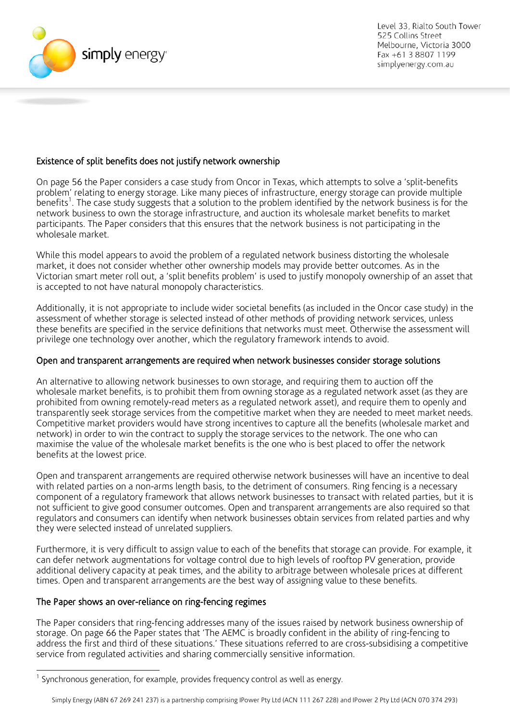

## Existence of split benefits does not justify network ownership

On page 56 the Paper considers a case study from Oncor in Texas, which attempts to solve a 'split-benefits problem' relating to energy storage. Like many pieces of infrastructure, energy storage can provide multiple benefits<sup>[1](#page-0-0)</sup>. The case study suggests that a solution to the problem identified by the network business is for the network business to own the storage infrastructure, and auction its wholesale market benefits to market participants. The Paper considers that this ensures that the network business is not participating in the wholesale market.

While this model appears to avoid the problem of a regulated network business distorting the wholesale market, it does not consider whether other ownership models may provide better outcomes. As in the Victorian smart meter roll out, a 'split benefits problem' is used to justify monopoly ownership of an asset that is accepted to not have natural monopoly characteristics.

Additionally, it is not appropriate to include wider societal benefits (as included in the Oncor case study) in the assessment of whether storage is selected instead of other methods of providing network services, unless these benefits are specified in the service definitions that networks must meet. Otherwise the assessment will privilege one technology over another, which the regulatory framework intends to avoid.

### Open and transparent arrangements are required when network businesses consider storage solutions

An alternative to allowing network businesses to own storage, and requiring them to auction off the wholesale market benefits, is to prohibit them from owning storage as a regulated network asset (as they are prohibited from owning remotely-read meters as a regulated network asset), and require them to openly and transparently seek storage services from the competitive market when they are needed to meet market needs. Competitive market providers would have strong incentives to capture all the benefits (wholesale market and network) in order to win the contract to supply the storage services to the network. The one who can maximise the value of the wholesale market benefits is the one who is best placed to offer the network benefits at the lowest price.

Open and transparent arrangements are required otherwise network businesses will have an incentive to deal with related parties on a non-arms length basis, to the detriment of consumers. Ring fencing is a necessary component of a regulatory framework that allows network businesses to transact with related parties, but it is not sufficient to give good consumer outcomes. Open and transparent arrangements are also required so that regulators and consumers can identify when network businesses obtain services from related parties and why they were selected instead of unrelated suppliers.

Furthermore, it is very difficult to assign value to each of the benefits that storage can provide. For example, it can defer network augmentations for voltage control due to high levels of rooftop PV generation, provide additional delivery capacity at peak times, and the ability to arbitrage between wholesale prices at different times. Open and transparent arrangements are the best way of assigning value to these benefits.

#### The Paper shows an over-reliance on ring-fencing regimes

The Paper considers that ring-fencing addresses many of the issues raised by network business ownership of storage. On page 66 the Paper states that 'The AEMC is broadly confident in the ability of ring-fencing to address the first and third of these situations.' These situations referred to are cross-subsidising a competitive service from regulated activities and sharing commercially sensitive information.

Synchronous generation, for example, provides frequency control as well as energy.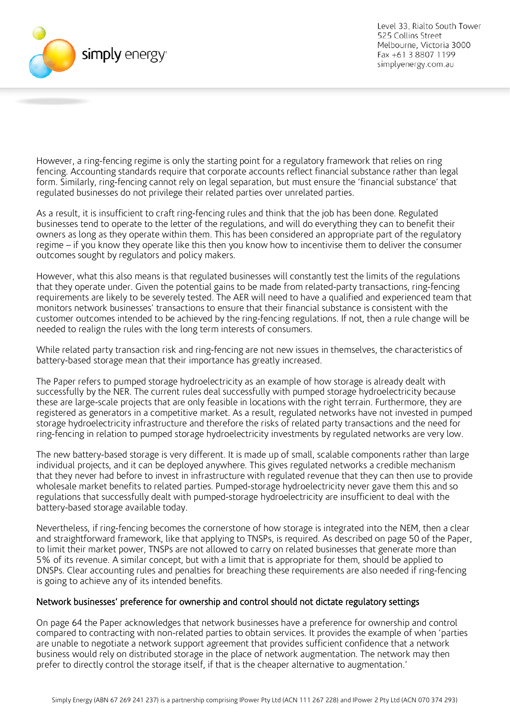

However, a ring-fencing regime is only the starting point for a regulatory framework that relies on ring fencing. Accounting standards require that corporate accounts reflect financial substance rather than legal form. Similarly, ring-fencing cannot rely on legal separation, but must ensure the 'financial substance' that regulated businesses do not privilege their related parties over unrelated parties.

As a result, it is insufficient to craft ring-fencing rules and think that the job has been done. Regulated businesses tend to operate to the letter of the regulations, and will do everything they can to benefit their owners as long as they operate within them. This has been considered an appropriate part of the regulatory regime – if you know they operate like this then you know how to incentivise them to deliver the consumer outcomes sought by regulators and policy makers.

However, what this also means is that regulated businesses will constantly test the limits of the regulations that they operate under. Given the potential gains to be made from related-party transactions, ring-fencing requirements are likely to be severely tested. The AER will need to have a qualified and experienced team that monitors network businesses' transactions to ensure that their financial substance is consistent with the customer outcomes intended to be achieved by the ring-fencing regulations. If not, then a rule change will be needed to realign the rules with the long term interests of consumers.

While related party transaction risk and ring-fencing are not new issues in themselves, the characteristics of battery-based storage mean that their importance has greatly increased.

The Paper refers to pumped storage hydroelectricity as an example of how storage is already dealt with successfully by the NER. The current rules deal successfully with pumped storage hydroelectricity because these are large-scale projects that are only feasible in locations with the right terrain. Furthermore, they are registered as generators in a competitive market. As a result, regulated networks have not invested in pumped storage hydroelectricity infrastructure and therefore the risks of related party transactions and the need for ring-fencing in relation to pumped storage hydroelectricity investments by regulated networks are very low.

The new battery-based storage is very different. It is made up of small, scalable components rather than large individual projects, and it can be deployed anywhere. This gives regulated networks a credible mechanism that they never had before to invest in infrastructure with regulated revenue that they can then use to provide wholesale market benefits to related parties. Pumped-storage hydroelectricity never gave them this and so regulations that successfully dealt with pumped-storage hydroelectricity are insufficient to deal with the battery-based storage available today.

Nevertheless, if ring-fencing becomes the cornerstone of how storage is integrated into the NEM, then a clear and straightforward framework, like that applying to TNSPs, is required. As described on page 50 of the Paper, to limit their market power, TNSPs are not allowed to carry on related businesses that generate more than 5% of its revenue. A similar concept, but with a limit that is appropriate for them, should be applied to DNSPs. Clear accounting rules and penalties for breaching these requirements are also needed if ring-fencing is going to achieve any of its intended benefits.

### Network businesses' preference for ownership and control should not dictate regulatory settings

On page 64 the Paper acknowledges that network businesses have a preference for ownership and control compared to contracting with non-related parties to obtain services. It provides the example of when 'parties are unable to negotiate a network support agreement that provides sufficient confidence that a network business would rely on distributed storage in the place of network augmentation. The network may then prefer to directly control the storage itself, if that is the cheaper alternative to augmentation.'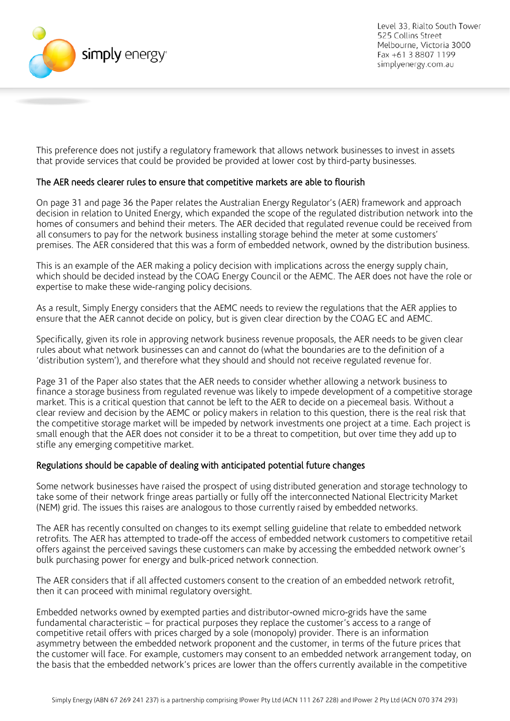

This preference does not justify a regulatory framework that allows network businesses to invest in assets that provide services that could be provided be provided at lower cost by third-party businesses.

### The AER needs clearer rules to ensure that competitive markets are able to flourish

On page 31 and page 36 the Paper relates the Australian Energy Regulator's (AER) framework and approach decision in relation to United Energy, which expanded the scope of the regulated distribution network into the homes of consumers and behind their meters. The AER decided that regulated revenue could be received from all consumers to pay for the network business installing storage behind the meter at some customers' premises. The AER considered that this was a form of embedded network, owned by the distribution business.

This is an example of the AER making a policy decision with implications across the energy supply chain, which should be decided instead by the COAG Energy Council or the AEMC. The AER does not have the role or expertise to make these wide-ranging policy decisions.

As a result, Simply Energy considers that the AEMC needs to review the regulations that the AER applies to ensure that the AER cannot decide on policy, but is given clear direction by the COAG EC and AEMC.

Specifically, given its role in approving network business revenue proposals, the AER needs to be given clear rules about what network businesses can and cannot do (what the boundaries are to the definition of a 'distribution system'), and therefore what they should and should not receive regulated revenue for.

Page 31 of the Paper also states that the AER needs to consider whether allowing a network business to finance a storage business from regulated revenue was likely to impede development of a competitive storage market. This is a critical question that cannot be left to the AER to decide on a piecemeal basis. Without a clear review and decision by the AEMC or policy makers in relation to this question, there is the real risk that the competitive storage market will be impeded by network investments one project at a time. Each project is small enough that the AER does not consider it to be a threat to competition, but over time they add up to stifle any emerging competitive market.

### Regulations should be capable of dealing with anticipated potential future changes

Some network businesses have raised the prospect of using distributed generation and storage technology to take some of their network fringe areas partially or fully off the interconnected National Electricity Market (NEM) grid. The issues this raises are analogous to those currently raised by embedded networks.

The AER has recently consulted on changes to its exempt selling guideline that relate to embedded network retrofits. The AER has attempted to trade-off the access of embedded network customers to competitive retail offers against the perceived savings these customers can make by accessing the embedded network owner's bulk purchasing power for energy and bulk-priced network connection.

The AER considers that if all affected customers consent to the creation of an embedded network retrofit, then it can proceed with minimal regulatory oversight.

Embedded networks owned by exempted parties and distributor-owned micro-grids have the same fundamental characteristic – for practical purposes they replace the customer's access to a range of competitive retail offers with prices charged by a sole (monopoly) provider. There is an information asymmetry between the embedded network proponent and the customer, in terms of the future prices that the customer will face. For example, customers may consent to an embedded network arrangement today, on the basis that the embedded network's prices are lower than the offers currently available in the competitive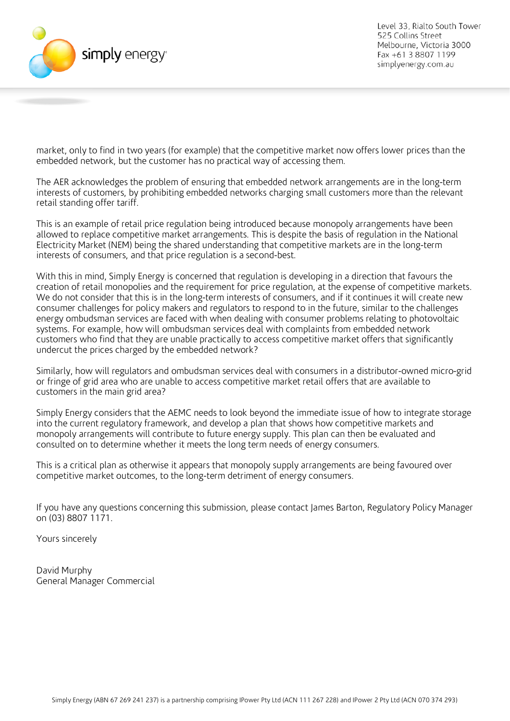

market, only to find in two years (for example) that the competitive market now offers lower prices than the embedded network, but the customer has no practical way of accessing them.

The AER acknowledges the problem of ensuring that embedded network arrangements are in the long-term interests of customers, by prohibiting embedded networks charging small customers more than the relevant retail standing offer tariff.

This is an example of retail price regulation being introduced because monopoly arrangements have been allowed to replace competitive market arrangements. This is despite the basis of regulation in the National Electricity Market (NEM) being the shared understanding that competitive markets are in the long-term interests of consumers, and that price regulation is a second-best.

With this in mind, Simply Energy is concerned that regulation is developing in a direction that favours the creation of retail monopolies and the requirement for price regulation, at the expense of competitive markets. We do not consider that this is in the long-term interests of consumers, and if it continues it will create new consumer challenges for policy makers and regulators to respond to in the future, similar to the challenges energy ombudsman services are faced with when dealing with consumer problems relating to photovoltaic systems. For example, how will ombudsman services deal with complaints from embedded network customers who find that they are unable practically to access competitive market offers that significantly undercut the prices charged by the embedded network?

Similarly, how will regulators and ombudsman services deal with consumers in a distributor-owned micro-grid or fringe of grid area who are unable to access competitive market retail offers that are available to customers in the main grid area?

Simply Energy considers that the AEMC needs to look beyond the immediate issue of how to integrate storage into the current regulatory framework, and develop a plan that shows how competitive markets and monopoly arrangements will contribute to future energy supply. This plan can then be evaluated and consulted on to determine whether it meets the long term needs of energy consumers.

This is a critical plan as otherwise it appears that monopoly supply arrangements are being favoured over competitive market outcomes, to the long-term detriment of energy consumers.

If you have any questions concerning this submission, please contact James Barton, Regulatory Policy Manager on (03) 8807 1171.

Yours sincerely

David Murphy General Manager Commercial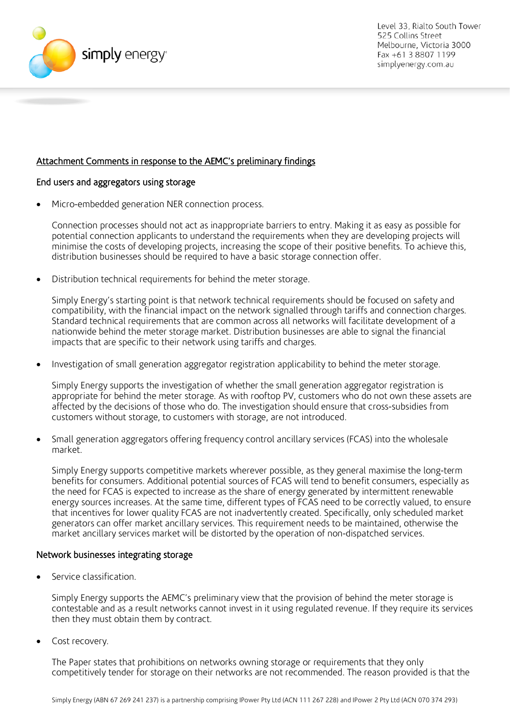

## Attachment Comments in response to the AEMC's preliminary findings

#### End users and aggregators using storage

• Micro-embedded generation NER connection process.

Connection processes should not act as inappropriate barriers to entry. Making it as easy as possible for potential connection applicants to understand the requirements when they are developing projects will minimise the costs of developing projects, increasing the scope of their positive benefits. To achieve this, distribution businesses should be required to have a basic storage connection offer.

• Distribution technical requirements for behind the meter storage.

Simply Energy's starting point is that network technical requirements should be focused on safety and compatibility, with the financial impact on the network signalled through tariffs and connection charges. Standard technical requirements that are common across all networks will facilitate development of a nationwide behind the meter storage market. Distribution businesses are able to signal the financial impacts that are specific to their network using tariffs and charges.

• Investigation of small generation aggregator registration applicability to behind the meter storage.

Simply Energy supports the investigation of whether the small generation aggregator registration is appropriate for behind the meter storage. As with rooftop PV, customers who do not own these assets are affected by the decisions of those who do. The investigation should ensure that cross-subsidies from customers without storage, to customers with storage, are not introduced.

• Small generation aggregators offering frequency control ancillary services (FCAS) into the wholesale market.

Simply Energy supports competitive markets wherever possible, as they general maximise the long-term benefits for consumers. Additional potential sources of FCAS will tend to benefit consumers, especially as the need for FCAS is expected to increase as the share of energy generated by intermittent renewable energy sources increases. At the same time, different types of FCAS need to be correctly valued, to ensure that incentives for lower quality FCAS are not inadvertently created. Specifically, only scheduled market generators can offer market ancillary services. This requirement needs to be maintained, otherwise the market ancillary services market will be distorted by the operation of non-dispatched services.

### Network businesses integrating storage

• Service classification.

Simply Energy supports the AEMC's preliminary view that the provision of behind the meter storage is contestable and as a result networks cannot invest in it using regulated revenue. If they require its services then they must obtain them by contract.

Cost recovery.

The Paper states that prohibitions on networks owning storage or requirements that they only competitively tender for storage on their networks are not recommended. The reason provided is that the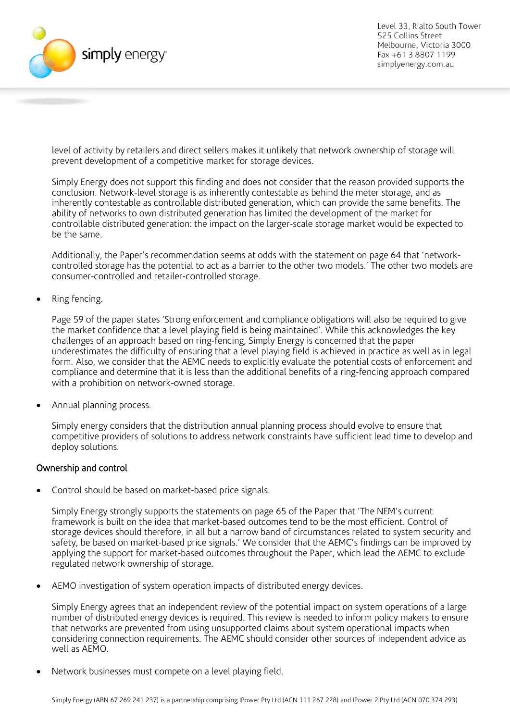

level of activity by retailers and direct sellers makes it unlikely that network ownership of storage will prevent development of a competitive market for storage devices.

Simply Energy does not support this finding and does not consider that the reason provided supports the conclusion. Network-level storage is as inherently contestable as behind the meter storage, and as inherently contestable as controllable distributed generation, which can provide the same benefits. The ability of networks to own distributed generation has limited the development of the market for controllable distributed generation: the impact on the larger-scale storage market would be expected to be the same.

Additionally, the Paper's recommendation seems at odds with the statement on page 64 that 'networkcontrolled storage has the potential to act as a barrier to the other two models.' The other two models are consumer-controlled and retailer-controlled storage.

• Ring fencing.

Page 59 of the paper states 'Strong enforcement and compliance obligations will also be required to give the market confidence that a level playing field is being maintained'. While this acknowledges the key challenges of an approach based on ring-fencing, Simply Energy is concerned that the paper underestimates the difficulty of ensuring that a level playing field is achieved in practice as well as in legal form. Also, we consider that the AEMC needs to explicitly evaluate the potential costs of enforcement and compliance and determine that it is less than the additional benefits of a ring-fencing approach compared with a prohibition on network-owned storage.

• Annual planning process.

Simply energy considers that the distribution annual planning process should evolve to ensure that competitive providers of solutions to address network constraints have sufficient lead time to develop and deploy solutions.

### Ownership and control

• Control should be based on market-based price signals.

Simply Energy strongly supports the statements on page 65 of the Paper that 'The NEM's current framework is built on the idea that market-based outcomes tend to be the most efficient. Control of storage devices should therefore, in all but a narrow band of circumstances related to system security and safety, be based on market-based price signals.' We consider that the AEMC's findings can be improved by applying the support for market-based outcomes throughout the Paper, which lead the AEMC to exclude regulated network ownership of storage.

• AEMO investigation of system operation impacts of distributed energy devices.

Simply Energy agrees that an independent review of the potential impact on system operations of a large number of distributed energy devices is required. This review is needed to inform policy makers to ensure that networks are prevented from using unsupported claims about system operational impacts when considering connection requirements. The AEMC should consider other sources of independent advice as well as AEMO.

• Network businesses must compete on a level playing field.